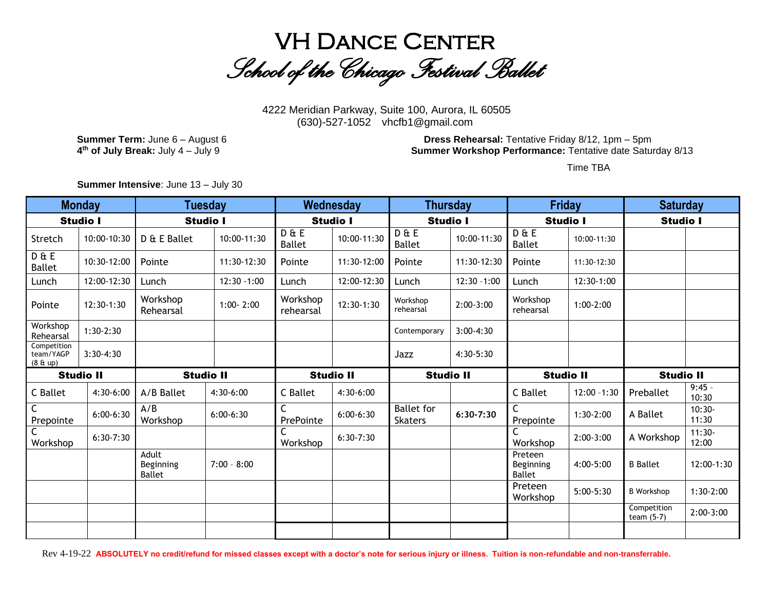

4222 Meridian Parkway, Suite 100, Aurora, IL 60505 (630)-527-1052 vhcfb1@gmail.com

4<sup>th</sup> of July Break: July 4 - July 9

**Summer Term:** June 6 – August 6 **Dress Rehearsal:** Tentative Friday 8/12, 1pm – 5pm **Summer Workshop Performance:** Tentative date Saturday 8/13

Time TBA

**Summer Intensive**: June 13 – July 30

| <b>Monday</b>                                  |                  | <b>Tuesday</b>                      |               | Wednesday              |                  | <b>Thursday</b>              |                | <b>Friday</b>                         |                | <b>Saturday</b>             |                   |
|------------------------------------------------|------------------|-------------------------------------|---------------|------------------------|------------------|------------------------------|----------------|---------------------------------------|----------------|-----------------------------|-------------------|
| <b>Studio I</b>                                |                  | <b>Studio I</b>                     |               | <b>Studio I</b>        |                  | <b>Studio I</b>              |                | <b>Studio I</b>                       |                | <b>Studio I</b>             |                   |
| Stretch                                        | 10:00-10:30      | D & E Ballet                        | 10:00-11:30   | D & E<br><b>Ballet</b> | 10:00-11:30      | D & E<br><b>Ballet</b>       | 10:00-11:30    | D & E<br><b>Ballet</b>                | 10:00-11:30    |                             |                   |
| D & E<br><b>Ballet</b>                         | 10:30-12:00      | Pointe                              | 11:30-12:30   | Pointe                 | 11:30-12:00      | Pointe                       | 11:30-12:30    | Pointe                                | 11:30-12:30    |                             |                   |
| Lunch                                          | 12:00-12:30      | Lunch                               | 12:30 - 1:00  | Lunch                  | 12:00-12:30      | Lunch                        | $12:30 - 1:00$ | Lunch                                 | 12:30-1:00     |                             |                   |
| Pointe                                         | 12:30-1:30       | Workshop<br>Rehearsal               | $1:00 - 2:00$ | Workshop<br>rehearsal  | 12:30-1:30       | Workshop<br>rehearsal        | $2:00-3:00$    | Workshop<br>rehearsal                 | $1:00-2:00$    |                             |                   |
| Workshop<br>Rehearsal                          | $1:30-2:30$      |                                     |               |                        |                  | Contemporary                 | $3:00-4:30$    |                                       |                |                             |                   |
| Competition<br>team/YAGP<br>$(8 \& \text{up})$ | $3:30-4:30$      |                                     |               |                        |                  | Jazz                         | 4:30-5:30      |                                       |                |                             |                   |
|                                                |                  |                                     |               |                        |                  |                              |                |                                       |                |                             |                   |
|                                                | <b>Studio II</b> | <b>Studio II</b>                    |               |                        | <b>Studio II</b> | <b>Studio II</b>             |                | <b>Studio II</b>                      |                | <b>Studio II</b>            |                   |
| C Ballet                                       | 4:30-6:00        | A/B Ballet                          | $4:30-6:00$   | C Ballet               | 4:30-6:00        |                              |                | C Ballet                              | $12:00 - 1:30$ | Preballet                   | $9:45 -$<br>10:30 |
| C<br>Prepointe                                 | $6:00-6:30$      | A/B<br>Workshop                     | $6:00-6:30$   | C<br>PrePointe         | $6:00-6:30$      | <b>Ballet</b> for<br>Skaters | $6:30-7:30$    | C<br>Prepointe                        | $1:30-2:00$    | A Ballet                    | $10:30-$<br>11:30 |
| Workshop                                       | $6:30-7:30$      |                                     |               | C<br>Workshop          | $6:30-7:30$      |                              |                | C<br>Workshop                         | $2:00-3:00$    | A Workshop                  | $11:30-$<br>12:00 |
|                                                |                  | Adult<br>Beginning<br><b>Ballet</b> | $7:00 - 8:00$ |                        |                  |                              |                | Preteen<br>Beginning<br><b>Ballet</b> | 4:00-5:00      | <b>B</b> Ballet             | 12:00-1:30        |
|                                                |                  |                                     |               |                        |                  |                              |                | Preteen<br>Workshop                   | $5:00-5:30$    | <b>B</b> Workshop           | $1:30-2:00$       |
|                                                |                  |                                     |               |                        |                  |                              |                |                                       |                | Competition<br>team $(5-7)$ | $2:00-3:00$       |

Rev 4-19-22 **ABSOLUTELY no credit/refund for missed classes except with a doctor's note for serious injury or illness. Tuition is non-refundable and non-transferrable.**